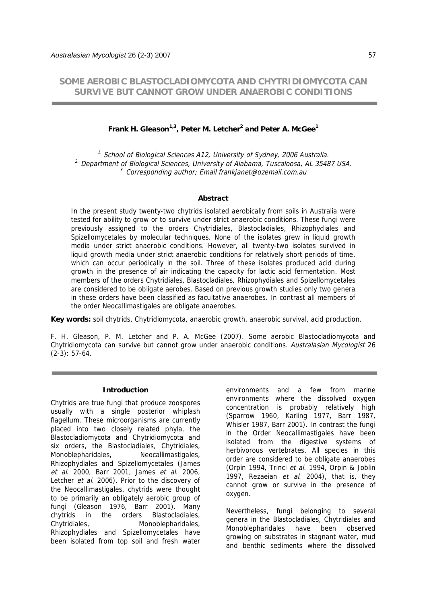# **SOME AEROBIC BLASTOCLADIOMYCOTA AND CHYTRIDIOMYCOTA CAN SURVIVE BUT CANNOT GROW UNDER ANAEROBIC CONDITIONS**

# **Frank H. Gleason1,3, Peter M. Letcher2 and Peter A. McGee<sup>1</sup>**

<sup>1.</sup> School of Biological Sciences A12, University of Sydney, 2006 Australia. <sup>2.</sup> Department of Biological Sciences, University of Alabama, Tuscaloosa, AL 35487 USA.  $3.$  Corresponding author; Email frankjanet@ozemail.com.au

### **Abstract**

In the present study twenty-two chytrids isolated aerobically from soils in Australia were tested for ability to grow or to survive under strict anaerobic conditions. These fungi were previously assigned to the orders Chytridiales, Blastocladiales, Rhizophydiales and Spizellomycetales by molecular techniques. None of the isolates grew in liquid growth media under strict anaerobic conditions. However, all twenty-two isolates survived in liquid growth media under strict anaerobic conditions for relatively short periods of time, which can occur periodically in the soil. Three of these isolates produced acid during growth in the presence of air indicating the capacity for lactic acid fermentation. Most members of the orders Chytridiales, Blastocladiales, Rhizophydiales and Spizellomycetales are considered to be obligate aerobes. Based on previous growth studies only two genera in these orders have been classified as facultative anaerobes. In contrast all members of the order Neocallimastigales are obligate anaerobes.

**Key words:** soil chytrids, Chytridiomycota, anaerobic growth, anaerobic survival, acid production.

F. H. Gleason, P. M. Letcher and P. A. McGee (2007). Some aerobic Blastocladiomycota and Chytridiomycota can survive but cannot grow under anaerobic conditions. Australasian Mycologist 26  $(2-3): 57-64.$ 

#### **Introduction**

Chytrids are true fungi that produce zoospores usually with a single posterior whiplash flagellum. These microorganisms are currently placed into two closely related phyla, the Blastocladiomycota and Chytridiomycota and six orders, the Blastocladiales, Chytridiales, Monoblepharidales, Neocallimastigales, Rhizophydiales and Spizellomycetales (James et al. 2000, Barr 2001, James et al. 2006, Letcher et al. 2006). Prior to the discovery of the Neocallimastigales, chytrids were thought to be primarily an obligately aerobic group of fungi (Gleason 1976, Barr 2001). Many chytrids in the orders Blastocladiales, Chytridiales, Monoblepharidales, Rhizophydiales and Spizellomycetales have been isolated from top soil and fresh water

environments and a few from marine environments where the dissolved oxygen concentration is probably relatively high (Sparrow 1960, Karling 1977, Barr 1987, Whisler 1987, Barr 2001). In contrast the fungi in the Order Neocallimastigales have been isolated from the digestive systems of herbivorous vertebrates. All species in this order are considered to be obligate anaerobes (Orpin 1994, Trinci et al. 1994, Orpin & Joblin 1997, Rezaeian et al. 2004), that is, they cannot grow or survive in the presence of oxygen.

Nevertheless, fungi belonging to several genera in the Blastocladiales, Chytridiales and Monoblepharidales have been observed growing on substrates in stagnant water, mud and benthic sediments where the dissolved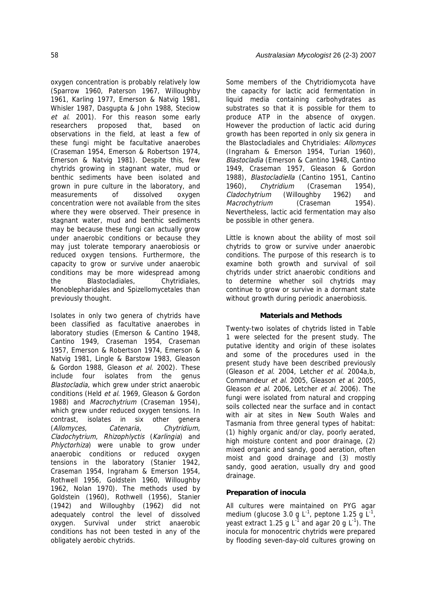oxygen concentration is probably relatively low (Sparrow 1960, Paterson 1967, Willoughby 1961, Karling 1977, Emerson & Natvig 1981, Whisler 1987, Dasgupta & John 1988, Steciow et al. 2001). For this reason some early researchers proposed that, based on observations in the field, at least a few of these fungi might be facultative anaerobes (Craseman 1954, Emerson & Robertson 1974, Emerson & Natvig 1981). Despite this, few chytrids growing in stagnant water, mud or benthic sediments have been isolated and grown in pure culture in the laboratory, and measurements of dissolved oxygen concentration were not available from the sites where they were observed. Their presence in stagnant water, mud and benthic sediments may be because these fungi can actually grow under anaerobic conditions or because they may just tolerate temporary anaerobiosis or reduced oxygen tensions. Furthermore, the capacity to grow or survive under anaerobic conditions may be more widespread among the Blastocladiales, Chytridiales, Monoblepharidales and Spizellomycetales than previously thought.

Isolates in only two genera of chytrids have been classified as facultative anaerobes in laboratory studies (Emerson & Cantino 1948, Cantino 1949, Craseman 1954, Craseman 1957, Emerson & Robertson 1974, Emerson & Natvig 1981, Lingle & Barstow 1983, Gleason & Gordon 1988, Gleason et al. 2002). These include four isolates from the genus Blastocladia, which grew under strict anaerobic conditions (Held et al. 1969, Gleason & Gordon 1988) and Macrochytrium (Craseman 1954), which grew under reduced oxygen tensions. In contrast, isolates in six other genera (Allomyces, Catenaria, Chytridium, Cladochytrium, Rhizophlyctis (Karlingia) and Phlyctorhiza) were unable to grow under anaerobic conditions or reduced oxygen tensions in the laboratory (Stanier 1942, Craseman 1954, Ingraham & Emerson 1954, Rothwell 1956, Goldstein 1960, Willoughby 1962, Nolan 1970). The methods used by Goldstein (1960), Rothwell (1956), Stanier (1942) and Willoughby (1962) did not adequately control the level of dissolved oxygen. Survival under strict anaerobic conditions has not been tested in any of the obligately aerobic chytrids.

Some members of the Chytridiomycota have the capacity for lactic acid fermentation in liquid media containing carbohydrates as substrates so that it is possible for them to produce ATP in the absence of oxygen. However the production of lactic acid during growth has been reported in only six genera in the Blastocladiales and Chytridiales: Allomyces (Ingraham & Emerson 1954, Turian 1960), Blastocladia (Emerson & Cantino 1948, Cantino 1949, Craseman 1957, Gleason & Gordon 1988), Blastocladiella (Cantino 1951, Cantino 1960), Chytridium (Craseman 1954), Cladochytrium (Willoughby 1962) and Macrochytrium (Craseman 1954). Nevertheless, lactic acid fermentation may also be possible in other genera.

Little is known about the ability of most soil chytrids to grow or survive under anaerobic conditions. The purpose of this research is to examine both growth and survival of soil chytrids under strict anaerobic conditions and to determine whether soil chytrids may continue to grow or survive in a dormant state without growth during periodic anaerobiosis.

# **Materials and Methods**

Twenty-two isolates of chytrids listed in Table 1 were selected for the present study. The putative identity and origin of these isolates and some of the procedures used in the present study have been described previously (Gleason et al. 2004, Letcher et al. 2004a,b, Commandeur et al. 2005, Gleason et al. 2005, Gleason et al. 2006, Letcher et al. 2006). The fungi were isolated from natural and cropping soils collected near the surface and in contact with air at sites in New South Wales and Tasmania from three general types of habitat: (1) highly organic and/or clay, poorly aerated, high moisture content and poor drainage, (2) mixed organic and sandy, good aeration, often moist and good drainage and (3) mostly sandy, good aeration, usually dry and good drainage.

# **Preparation of inocula**

All cultures were maintained on PYG agar medium (glucose 3.0 g  $L^{-1}$ , peptone 1.25 g  $L^{-1}$ , yeast extract 1.25 g  $L^{-1}$  and agar 20 g  $L^{-1}$ ). The inocula for monocentric chytrids were prepared by flooding seven-day-old cultures growing on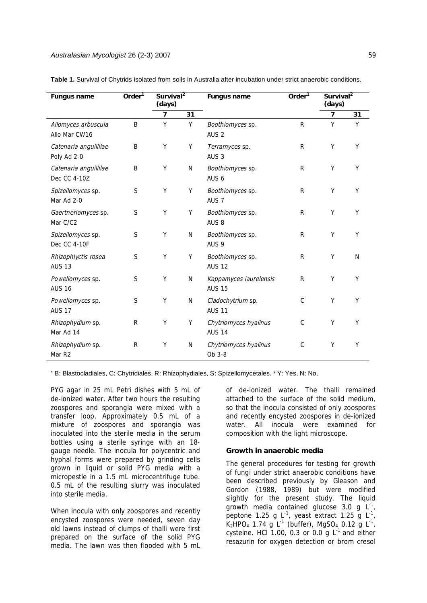| <b>Fungus name</b>                     | Order <sup>1</sup> | Survival <sup>2</sup><br>(days) |    | <b>Fungus name</b>                      | Order $1$    | Survival <sup>2</sup><br>(days) |    |
|----------------------------------------|--------------------|---------------------------------|----|-----------------------------------------|--------------|---------------------------------|----|
|                                        |                    | 7                               | 31 |                                         |              | $\overline{7}$                  | 31 |
| Allomyces arbuscula<br>Allo Mar CW16   | B                  | Υ                               | Υ  | Boothiomyces sp.<br>AUS <sub>2</sub>    | $\mathsf{R}$ | Y                               | Υ  |
| Catenaria anguillilae<br>Poly Ad 2-0   | B                  | Υ                               | Υ  | Terramyces sp.<br>AUS <sub>3</sub>      | R            | Υ                               | Y  |
| Catenaria anguillilae<br>Dec CC 4-10Z  | Β                  | Υ                               | N  | Boothiomyces sp.<br>AUS 6               | R            | Υ                               | Y  |
| Spizellomyces sp.<br>Mar Ad 2-0        | S                  | Υ                               | Υ  | Boothiomyces sp.<br>AUS <sub>7</sub>    | R            | Υ                               | Υ  |
| Gaertneriomyces sp.<br>Mar C/C2        | S                  | Υ                               | Υ  | Boothiomyces sp.<br>AUS <sub>8</sub>    | R            | Y                               | Υ  |
| Spizellomyces sp.<br>Dec CC 4-10F      | S                  | Υ                               | N  | Boothiomyces sp.<br>AUS <sub>9</sub>    | $\mathsf{R}$ | Υ                               | Y  |
| Rhizophlyctis rosea<br><b>AUS 13</b>   | $\mathsf S$        | Υ                               | Υ  | Boothiomyces sp.<br><b>AUS 12</b>       | R            | Y                               | N  |
| Powellomyces sp.<br><b>AUS 16</b>      | S                  | Υ                               | N  | Kappamyces laurelensis<br><b>AUS 15</b> | R            | Υ                               | Υ  |
| Powellomyces sp.<br><b>AUS 17</b>      | $\mathsf S$        | Υ                               | N  | Cladochytrium sp.<br><b>AUS 11</b>      | $\mathsf C$  | Y                               | Υ  |
| Rhizophydium sp.<br>Mar Ad 14          | $\mathsf R$        | Υ                               | Υ  | Chytriomyces hyalinus<br><b>AUS 14</b>  | C            | Y                               | Y  |
| Rhizophydium sp.<br>Mar R <sub>2</sub> | R                  | Υ                               | N  | Chytriomyces hyalinus<br>Ob 3-8         | C            | Υ                               | Y  |

**Table 1.** Survival of Chytrids isolated from soils in Australia after incubation under strict anaerobic conditions.

<sup>1</sup> B: Blastocladiales, C: Chytridiales, R: Rhizophydiales, S: Spizellomycetales. <sup>2</sup> Y: Yes, N: No.

PYG agar in 25 mL Petri dishes with 5 mL of de-ionized water. After two hours the resulting zoospores and sporangia were mixed with a transfer loop. Approximately 0.5 mL of a mixture of zoospores and sporangia was inoculated into the sterile media in the serum bottles using a sterile syringe with an 18 gauge needle. The inocula for polycentric and hyphal forms were prepared by grinding cells grown in liquid or solid PYG media with a micropestle in a 1.5 mL microcentrifuge tube. 0.5 mL of the resulting slurry was inoculated into sterile media.

When inocula with only zoospores and recently encysted zoospores were needed, seven day old lawns instead of clumps of thalli were first prepared on the surface of the solid PYG media. The lawn was then flooded with 5 mL

of de-ionized water. The thalli remained attached to the surface of the solid medium, so that the inocula consisted of only zoospores and recently encysted zoospores in de-ionized water. All inocula were examined for composition with the light microscope.

### **Growth in anaerobic media**

The general procedures for testing for growth of fungi under strict anaerobic conditions have been described previously by Gleason and Gordon (1988, 1989) but were modified slightly for the present study. The liquid growth media contained glucose 3.0 g  $L^{-1}$ , peptone 1.25 g  $L^{-1}$ , yeast extract 1.25 g  $L^{-1}$  $K_2$ HPO<sub>4</sub> 1.74 g L<sup>-1</sup> (buffer), MgSO<sub>4</sub> 0.12 g L<sup>-1</sup>, cysteine. HCl 1.00, 0.3 or 0.0 g  $L^1$  and either resazurin for oxygen detection or brom cresol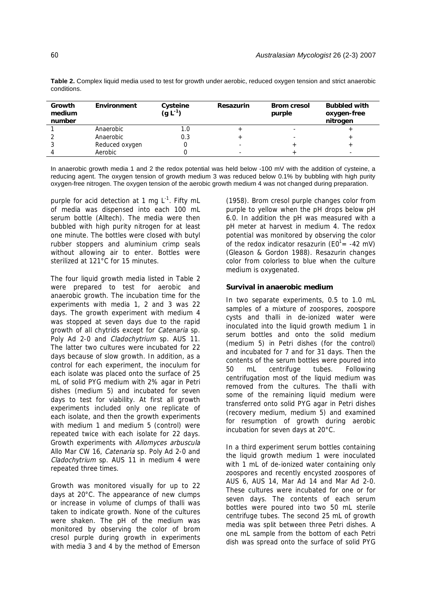| Growth<br>medium<br>number | Environment    | Cysteine<br>$(g L^{-1})$ | <b>Resazurin</b> | <b>Brom cresol</b><br>purple | <b>Bubbled with</b><br>oxygen-free<br>nitrogen |
|----------------------------|----------------|--------------------------|------------------|------------------------------|------------------------------------------------|
|                            | Anaerobic      | L.U                      |                  |                              |                                                |
|                            | Anaerobic      | 0.3                      |                  |                              |                                                |
|                            | Reduced oxygen |                          | -                |                              |                                                |
|                            | Aerobic        |                          |                  |                              |                                                |

**Table 2.** Complex liquid media used to test for growth under aerobic, reduced oxygen tension and strict anaerobic conditions.

In anaerobic growth media 1 and 2 the redox potential was held below -100 mV with the addition of cysteine, a reducing agent. The oxygen tension of growth medium 3 was reduced below 0.1% by bubbling with high purity oxygen-free nitrogen. The oxygen tension of the aerobic growth medium 4 was not changed during preparation.

purple for acid detection at 1 mg  $L^{-1}$ . Fifty mL of media was dispensed into each 100 mL serum bottle (Alltech). The media were then bubbled with high purity nitrogen for at least one minute. The bottles were closed with butyl rubber stoppers and aluminium crimp seals without allowing air to enter. Bottles were sterilized at 121°C for 15 minutes.

The four liquid growth media listed in Table 2 were prepared to test for aerobic and anaerobic growth. The incubation time for the experiments with media 1, 2 and 3 was 22 days. The growth experiment with medium 4 was stopped at seven days due to the rapid growth of all chytrids except for *Catenaria* sp. Poly Ad 2-0 and Cladochytrium sp. AUS 11. The latter two cultures were incubated for 22 days because of slow growth. In addition, as a control for each experiment, the inoculum for each isolate was placed onto the surface of 25 mL of solid PYG medium with 2% agar in Petri dishes (medium 5) and incubated for seven days to test for viability. At first all growth experiments included only one replicate of each isolate, and then the growth experiments with medium 1 and medium 5 (control) were repeated twice with each isolate for 22 days. Growth experiments with Allomyces arbuscula Allo Mar CW 16, Catenaria sp. Poly Ad 2-0 and Cladochytrium sp. AUS 11 in medium 4 were repeated three times.

Growth was monitored visually for up to 22 days at 20°C. The appearance of new clumps or increase in volume of clumps of thalli was taken to indicate growth. None of the cultures were shaken. The pH of the medium was monitored by observing the color of brom cresol purple during growth in experiments with media 3 and 4 by the method of Emerson

(1958). Brom cresol purple changes color from purple to yellow when the pH drops below pH 6.0. In addition the pH was measured with a pH meter at harvest in medium 4. The redox potential was monitored by observing the color of the redox indicator resazurin ( $E0^{1}$  = -42 mV) (Gleason & Gordon 1988). Resazurin changes color from colorless to blue when the culture medium is oxygenated.

# **Survival in anaerobic medium**

In two separate experiments, 0.5 to 1.0 mL samples of a mixture of zoospores, zoospore cysts and thalli in de-ionized water were inoculated into the liquid growth medium 1 in serum bottles and onto the solid medium (medium 5) in Petri dishes (for the control) and incubated for 7 and for 31 days. Then the contents of the serum bottles were poured into 50 mL centrifuge tubes. Following centrifugation most of the liquid medium was removed from the cultures. The thalli with some of the remaining liquid medium were transferred onto solid PYG agar in Petri dishes (recovery medium, medium 5) and examined for resumption of growth during aerobic incubation for seven days at 20°C.

In a third experiment serum bottles containing the liquid growth medium 1 were inoculated with 1 mL of de-ionized water containing only zoospores and recently encysted zoospores of AUS 6, AUS 14, Mar Ad 14 and Mar Ad 2-0. These cultures were incubated for one or for seven days. The contents of each serum bottles were poured into two 50 mL sterile centrifuge tubes. The second 25 mL of growth media was split between three Petri dishes. A one mL sample from the bottom of each Petri dish was spread onto the surface of solid PYG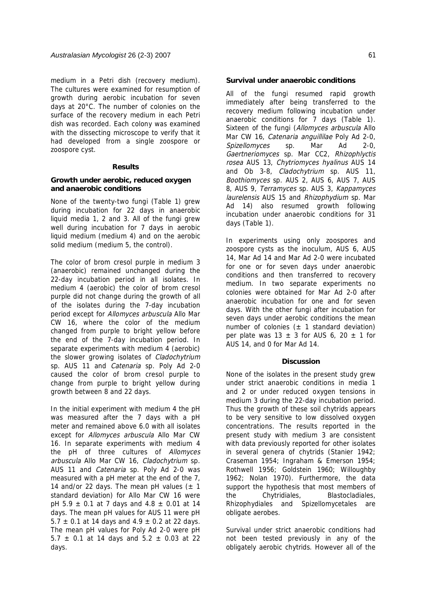medium in a Petri dish (recovery medium). The cultures were examined for resumption of growth during aerobic incubation for seven days at 20°C. The number of colonies on the surface of the recovery medium in each Petri dish was recorded. Each colony was examined with the dissecting microscope to verify that it had developed from a single zoospore or zoospore cyst.

### **Results**

### **Growth under aerobic, reduced oxygen and anaerobic conditions**

None of the twenty-two fungi (Table 1) grew during incubation for 22 days in anaerobic liquid media 1, 2 and 3. All of the fungi grew well during incubation for 7 days in aerobic liquid medium (medium 4) and on the aerobic solid medium (medium 5, the control).

The color of brom cresol purple in medium 3 (anaerobic) remained unchanged during the 22-day incubation period in all isolates. In medium 4 (aerobic) the color of brom cresol purple did not change during the growth of all of the isolates during the 7-day incubation period except for Allomyces arbuscula Allo Mar CW 16, where the color of the medium changed from purple to bright yellow before the end of the 7-day incubation period. In separate experiments with medium 4 (aerobic) the slower growing isolates of *Cladochytrium* sp. AUS 11 and Catenaria sp. Poly Ad 2-0 caused the color of brom cresol purple to change from purple to bright yellow during growth between 8 and 22 days.

In the initial experiment with medium 4 the pH was measured after the 7 days with a pH meter and remained above 6.0 with all isolates except for Allomyces arbuscula Allo Mar CW 16. In separate experiments with medium 4 the pH of three cultures of Allomyces arbuscula Allo Mar CW 16, Cladochytrium sp. AUS 11 and Catenaria sp. Poly Ad 2-0 was measured with a pH meter at the end of the 7, 14 and/or 22 days. The mean pH values  $(\pm 1)$ standard deviation) for Allo Mar CW 16 were pH 5.9  $\pm$  0.1 at 7 days and 4.8  $\pm$  0.01 at 14 days. The mean pH values for AUS 11 were pH 5.7  $\pm$  0.1 at 14 days and 4.9  $\pm$  0.2 at 22 days. The mean pH values for Poly Ad 2-0 were pH 5.7  $\pm$  0.1 at 14 days and 5.2  $\pm$  0.03 at 22 days.

### **Survival under anaerobic conditions**

All of the fungi resumed rapid growth immediately after being transferred to the recovery medium following incubation under anaerobic conditions for 7 days (Table 1). Sixteen of the fungi (Allomyces arbuscula Allo Mar CW 16, Catenaria anguillilae Poly Ad 2-0, Spizellomyces sp. Mar Ad 2-0, Gaertneriomyces sp. Mar CC2, Rhizophlyctis rosea AUS 13, Chytriomyces hyalinus AUS 14 and Ob 3-8, Cladochytrium sp. AUS 11, Boothiomyces sp. AUS 2, AUS 6, AUS 7, AUS 8, AUS 9, Terramyces sp. AUS 3, Kappamyces laurelensis AUS 15 and Rhizophydium sp. Mar Ad 14) also resumed growth following incubation under anaerobic conditions for 31 days (Table 1).

In experiments using only zoospores and zoospore cysts as the inoculum, AUS 6, AUS 14, Mar Ad 14 and Mar Ad 2-0 were incubated for one or for seven days under anaerobic conditions and then transferred to recovery medium. In two separate experiments no colonies were obtained for Mar Ad 2-0 after anaerobic incubation for one and for seven days. With the other fungi after incubation for seven days under aerobic conditions the mean number of colonies  $(\pm 1)$  standard deviation) per plate was  $13 \pm 3$  for AUS 6, 20  $\pm$  1 for AUS 14, and 0 for Mar Ad 14.

### **Discussion**

None of the isolates in the present study grew under strict anaerobic conditions in media 1 and 2 or under reduced oxygen tensions in medium 3 during the 22-day incubation period. Thus the growth of these soil chytrids appears to be very sensitive to low dissolved oxygen concentrations. The results reported in the present study with medium 3 are consistent with data previously reported for other isolates in several genera of chytrids (Stanier 1942; Craseman 1954; Ingraham & Emerson 1954; Rothwell 1956; Goldstein 1960; Willoughby 1962; Nolan 1970). Furthermore, the data support the hypothesis that most members of the Chytridiales, Blastocladiales, Rhizophydiales and Spizellomycetales are obligate aerobes.

Survival under strict anaerobic conditions had not been tested previously in any of the obligately aerobic chytrids. However all of the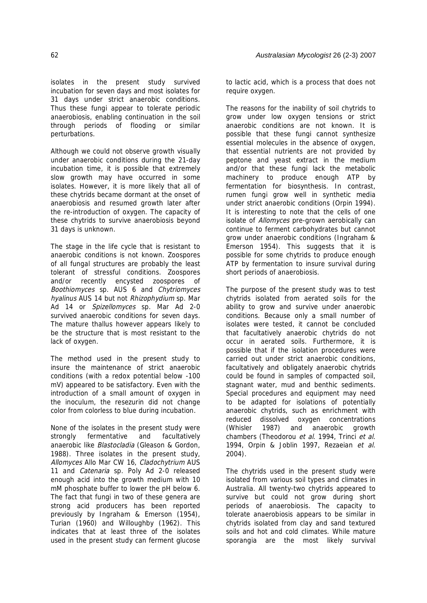isolates in the present study survived incubation for seven days and most isolates for 31 days under strict anaerobic conditions. Thus these fungi appear to tolerate periodic anaerobiosis, enabling continuation in the soil through periods of flooding or similar perturbations.

Although we could not observe growth visually under anaerobic conditions during the 21-day incubation time, it is possible that extremely slow growth may have occurred in some isolates. However, it is more likely that all of these chytrids became dormant at the onset of anaerobiosis and resumed growth later after the re-introduction of oxygen. The capacity of these chytrids to survive anaerobiosis beyond 31 days is unknown.

The stage in the life cycle that is resistant to anaerobic conditions is not known. Zoospores of all fungal structures are probably the least tolerant of stressful conditions. Zoospores and/or recently encysted zoospores of Boothiomyces sp. AUS 6 and Chytriomyces hyalinus AUS 14 but not Rhizophydium sp. Mar Ad 14 or Spizellomyces sp. Mar Ad 2-0 survived anaerobic conditions for seven days. The mature thallus however appears likely to be the structure that is most resistant to the lack of oxygen.

The method used in the present study to insure the maintenance of strict anaerobic conditions (with a redox potential below -100 mV) appeared to be satisfactory. Even with the introduction of a small amount of oxygen in the inoculum, the resezurin did not change color from colorless to blue during incubation.

None of the isolates in the present study were strongly fermentative and facultatively anaerobic like Blastocladia (Gleason & Gordon, 1988). Three isolates in the present study, Allomyces Allo Mar CW 16, Cladochytrium AUS 11 and Catenaria sp. Poly Ad 2-0 released enough acid into the growth medium with 10 mM phosphate buffer to lower the pH below 6. The fact that fungi in two of these genera are strong acid producers has been reported previously by Ingraham & Emerson (1954), Turian (1960) and Willoughby (1962). This indicates that at least three of the isolates used in the present study can ferment glucose

to lactic acid, which is a process that does not require oxygen.

The reasons for the inability of soil chytrids to grow under low oxygen tensions or strict anaerobic conditions are not known. It is possible that these fungi cannot synthesize essential molecules in the absence of oxygen, that essential nutrients are not provided by peptone and yeast extract in the medium and/or that these fungi lack the metabolic machinery to produce enough ATP by fermentation for biosynthesis. In contrast, rumen fungi grow well in synthetic media under strict anaerobic conditions (Orpin 1994). It is interesting to note that the cells of one isolate of Allomyces pre-grown aerobically can continue to ferment carbohydrates but cannot grow under anaerobic conditions (Ingraham & Emerson 1954). This suggests that it is possible for some chytrids to produce enough ATP by fermentation to insure survival during short periods of anaerobiosis.

The purpose of the present study was to test chytrids isolated from aerated soils for the ability to grow and survive under anaerobic conditions. Because only a small number of isolates were tested, it cannot be concluded that facultatively anaerobic chytrids do not occur in aerated soils. Furthermore, it is possible that if the isolation procedures were carried out under strict anaerobic conditions, facultatively and obligately anaerobic chytrids could be found in samples of compacted soil, stagnant water, mud and benthic sediments. Special procedures and equipment may need to be adapted for isolations of potentially anaerobic chytrids, such as enrichment with reduced dissolved oxygen concentrations (Whisler 1987) and anaerobic growth chambers (Theodorou et al. 1994, Trinci et al. 1994, Orpin & Joblin 1997, Rezaeian et al. 2004).

The chytrids used in the present study were isolated from various soil types and climates in Australia. All twenty-two chytrids appeared to survive but could not grow during short periods of anaerobiosis. The capacity to tolerate anaerobiosis appears to be similar in chytrids isolated from clay and sand textured soils and hot and cold climates. While mature sporangia are the most likely survival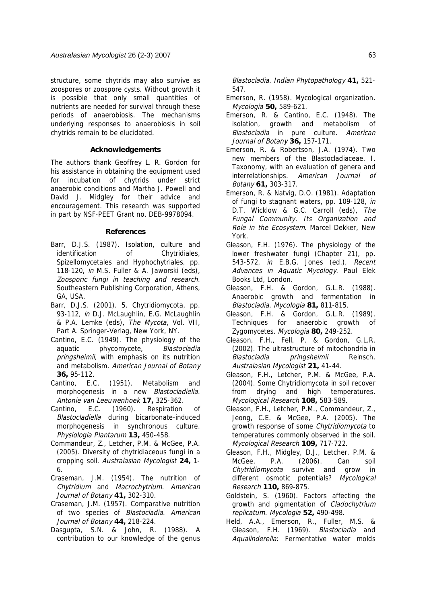structure, some chytrids may also survive as zoospores or zoospore cysts. Without growth it is possible that only small quantities of nutrients are needed for survival through these periods of anaerobiosis. The mechanisms underlying responses to anaerobiosis in soil chytrids remain to be elucidated.

### **Acknowledgements**

The authors thank Geoffrey L. R. Gordon for his assistance in obtaining the equipment used for incubation of chytrids under strict anaerobic conditions and Martha J. Powell and David J. Midgley for their advice and encouragement. This research was supported in part by NSF-PEET Grant no. DEB-9978094.

### **References**

- Barr, D.J.S. (1987). Isolation, culture and identification of Chytridiales, Spizellomycetales and Hyphochytriales, pp. 118-120, in M.S. Fuller & A. Jaworski (eds), Zoosporic fungi in teaching and research. Southeastern Publishing Corporation, Athens, GA, USA.
- Barr, D.J.S. (2001). 5. Chytridiomycota, pp. 93-112, *in D.J. McLaughlin, E.G. McLaughlin* & P.A. Lemke (eds), The Mycota, Vol. VII, Part A. Springer-Verlag, New York, NY.
- Cantino, E.C. (1949). The physiology of the aquatic phycomycete, Blastocladia pringsheimii, with emphasis on its nutrition and metabolism. American Journal of Botany **36,** 95-112.
- Cantino, E.C. (1951). Metabolism and morphogenesis in a new Blastocladiella. Antonie van Leeuwenhoek **17,** 325-362.
- Cantino, E.C. (1960). Respiration of Blastocladiella during bicarbonate-induced morphogenesis in synchronous culture. Physiologia Plantarum **13,** 450-458.
- Commandeur, Z., Letcher, P.M. & McGee, P.A. (2005). Diversity of chytridiaceous fungi in a cropping soil. Australasian Mycologist **24,** 1- 6.
- Craseman, J.M. (1954). The nutrition of Chytridium and Macrochytrium. American Journal of Botany **41,** 302-310.
- Craseman, J.M. (1957). Comparative nutrition of two species of Blastocladia. American Journal of Botany **44,** 218-224.
- Dasgupta, S.N. & John, R. (1988). A contribution to our knowledge of the genus

Blastocladia. Indian Phytopathology **41,** 521- 547.

- Emerson, R. (1958). Mycological organization. Mycologia **50,** 589-621.
- Emerson, R. & Cantino, E.C. (1948). The isolation, growth and metabolism of Blastocladia in pure culture. American Journal of Botany **36,** 157-171.
- Emerson, R. & Robertson, J.A. (1974). Two new members of the Blastocladiaceae. I. Taxonomy, with an evaluation of genera and interrelationships. American Journal of Botany **61,** 303-317.
- Emerson, R. & Natvig, D.O. (1981). Adaptation of fungi to stagnant waters, pp. 109-128, in D.T. Wicklow & G.C. Carroll (eds), The Fungal Community. Its Organization and Role in the Ecosystem. Marcel Dekker, New York.
- Gleason, F.H. (1976). The physiology of the lower freshwater fungi (Chapter 21), pp. 543-572, in E.B.G. Jones (ed.), Recent Advances in Aquatic Mycology. Paul Elek Books Ltd, London.
- Gleason, F.H. & Gordon, G.L.R. (1988). Anaerobic growth and fermentation in Blastocladia. Mycologia **81,** 811-815.
- Gleason, F.H. & Gordon, G.L.R. (1989). Techniques for anaerobic growth of Zygomycetes. Mycologia **80,** 249-252.
- Gleason, F.H., Fell, P. & Gordon, G.L.R. (2002). The ultrastructure of mitochondria in Blastocladia pringsheimii Reinsch. Australasian Mycologist **21,** 41-44.
- Gleason, F.H., Letcher, P.M. & McGee, P.A. (2004). Some Chytridiomycota in soil recover from drying and high temperatures. Mycological Research **108,** 583-589.
- Gleason, F.H., Letcher, P.M., Commandeur, Z., Jeong, C.E. & McGee, P.A. (2005). The growth response of some Chytridiomycota to temperatures commonly observed in the soil. Mycological Research **109,** 717-722.
- Gleason, F.H., Midgley, D.J., Letcher, P.M. & McGee, P.A. (2006). Can soil Chytridiomycota survive and grow in different osmotic potentials? Mycological Research **110,** 869-875.
- Goldstein, S. (1960). Factors affecting the growth and pigmentation of Cladochytrium replicatum. Mycologia **52,** 490-498.
- Held, A.A., Emerson, R., Fuller, M.S. & Gleason, F.H. (1969). Blastocladia and Aqualinderella: Fermentative water molds